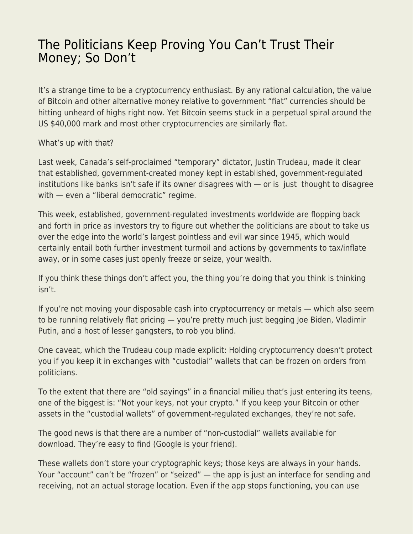## [The Politicians Keep Proving You Can't Trust Their](https://everything-voluntary.com/the-politicians-keep-proving-you-cant-trust-their-money-so-dont) [Money; So Don't](https://everything-voluntary.com/the-politicians-keep-proving-you-cant-trust-their-money-so-dont)

It's a strange time to be a cryptocurrency enthusiast. By any rational calculation, the value of Bitcoin and other alternative money relative to government "fiat" currencies should be hitting unheard of highs right now. Yet Bitcoin seems stuck in a perpetual spiral around the US \$40,000 mark and most other cryptocurrencies are similarly flat.

## What's up with that?

Last week, Canada's self-proclaimed "temporary" dictator, Justin Trudeau, made it clear that established, government-created money kept in established, government-regulated institutions like banks isn't safe if its owner disagrees with — or is just thought to disagree with — even a "liberal democratic" regime.

This week, established, government-regulated investments worldwide are flopping back and forth in price as investors try to figure out whether the politicians are about to take us over the edge into the world's largest pointless and evil war since 1945, which would certainly entail both further investment turmoil and actions by governments to tax/inflate away, or in some cases just openly freeze or seize, your wealth.

If you think these things don't affect you, the thing you're doing that you think is thinking isn't.

If you're not moving your disposable cash into cryptocurrency or metals — which also seem to be running relatively flat pricing — you're pretty much just begging Joe Biden, Vladimir Putin, and a host of lesser gangsters, to rob you blind.

One caveat, which the Trudeau coup made explicit: Holding cryptocurrency doesn't protect you if you keep it in exchanges with "custodial" wallets that can be frozen on orders from politicians.

To the extent that there are "old sayings" in a financial milieu that's just entering its teens, one of the biggest is: "Not your keys, not your crypto." If you keep your Bitcoin or other assets in the "custodial wallets" of government-regulated exchanges, they're not safe.

The good news is that there are a number of "non-custodial" wallets available for download. They're easy to find (Google is your friend).

These wallets don't store your cryptographic keys; those keys are always in your hands. Your "account" can't be "frozen" or "seized" — the app is just an interface for sending and receiving, not an actual storage location. Even if the app stops functioning, you can use